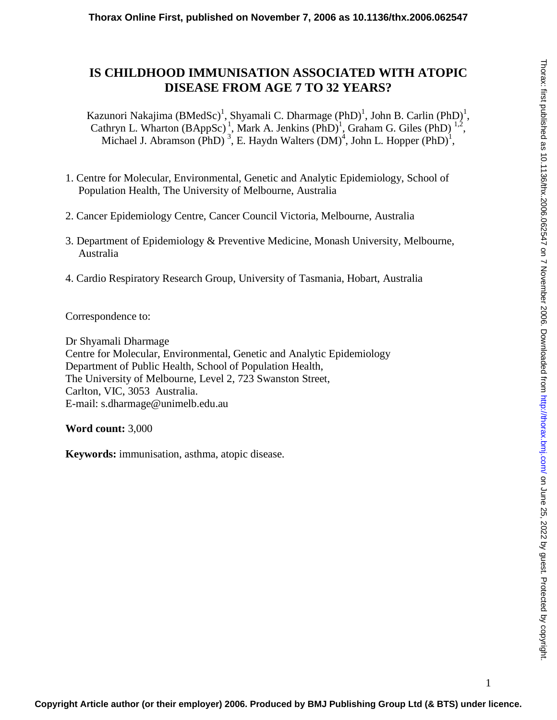# **IS CHILDHOOD IMMUNISATION ASSOCIATED WITH ATOPIC DISEASE FROM AGE 7 TO 32 YEARS?**

Kazunori Nakajima (BMedSc)<sup>1</sup>, Shyamali C. Dharmage (PhD)<sup>1</sup>, John B. Carlin (PhD)<sup>1</sup>, Cathryn L. Wharton  $(BAppSc)^{1}$ , Mark A. Jenkins  $(PhD)^{1}$ , Graham G. Giles  $(PhD)^{1,2}$ , Michael J. Abramson (PhD)<sup>3</sup>, E. Haydn Walters (DM)<sup>4</sup>, John L. Hopper (PhD)<sup>1</sup>,

- 1. Centre for Molecular, Environmental, Genetic and Analytic Epidemiology, School of Population Health, The University of Melbourne, Australia
- 2. Cancer Epidemiology Centre, Cancer Council Victoria, Melbourne, Australia
- 3. Department of Epidemiology & Preventive Medicine, Monash University, Melbourne, Australia
- 4. Cardio Respiratory Research Group, University of Tasmania, Hobart, Australia

Correspondence to:

Dr Shyamali Dharmage Centre for Molecular, Environmental, Genetic and Analytic Epidemiology Department of Public Health, School of Population Health, The University of Melbourne, Level 2, 723 Swanston Street, Carlton, VIC, 3053 Australia. E-mail: s.dharmage@unimelb.edu.au

**Word count:** 3,000

**Keywords:** immunisation, asthma, atopic disease.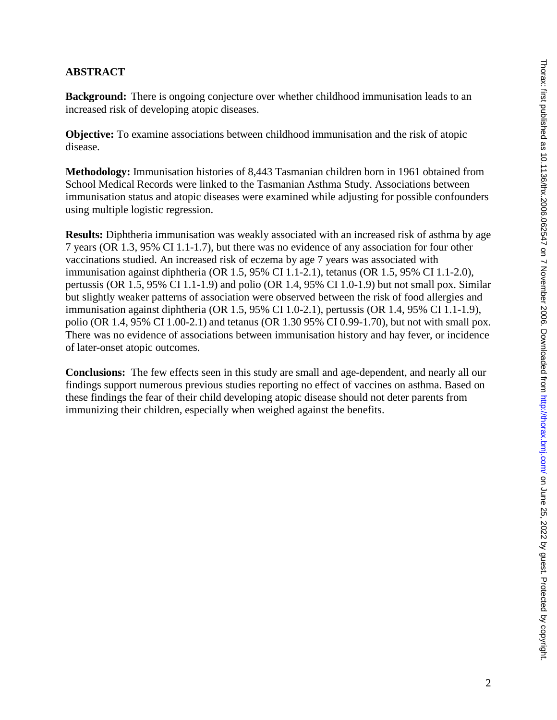# **ABSTRACT**

**Background:** There is ongoing conjecture over whether childhood immunisation leads to an increased risk of developing atopic diseases.

**Objective:** To examine associations between childhood immunisation and the risk of atopic disease.

**Methodology:** Immunisation histories of 8,443 Tasmanian children born in 1961 obtained from School Medical Records were linked to the Tasmanian Asthma Study. Associations between immunisation status and atopic diseases were examined while adjusting for possible confounders using multiple logistic regression.

**Results:** Diphtheria immunisation was weakly associated with an increased risk of asthma by age 7 years (OR 1.3, 95% CI 1.1-1.7), but there was no evidence of any association for four other vaccinations studied. An increased risk of eczema by age 7 years was associated with immunisation against diphtheria (OR 1.5, 95% CI 1.1-2.1), tetanus (OR 1.5, 95% CI 1.1-2.0), pertussis (OR 1.5, 95% CI 1.1-1.9) and polio (OR 1.4, 95% CI 1.0-1.9) but not small pox. Similar but slightly weaker patterns of association were observed between the risk of food allergies and immunisation against diphtheria (OR 1.5, 95% CI 1.0-2.1), pertussis (OR 1.4, 95% CI 1.1-1.9), polio (OR 1.4, 95% CI 1.00-2.1) and tetanus (OR 1.30 95% CI 0.99-1.70), but not with small pox. There was no evidence of associations between immunisation history and hay fever, or incidence of later-onset atopic outcomes.

**Conclusions:** The few effects seen in this study are small and age-dependent, and nearly all our findings support numerous previous studies reporting no effect of vaccines on asthma. Based on these findings the fear of their child developing atopic disease should not deter parents from immunizing their children, especially when weighed against the benefits.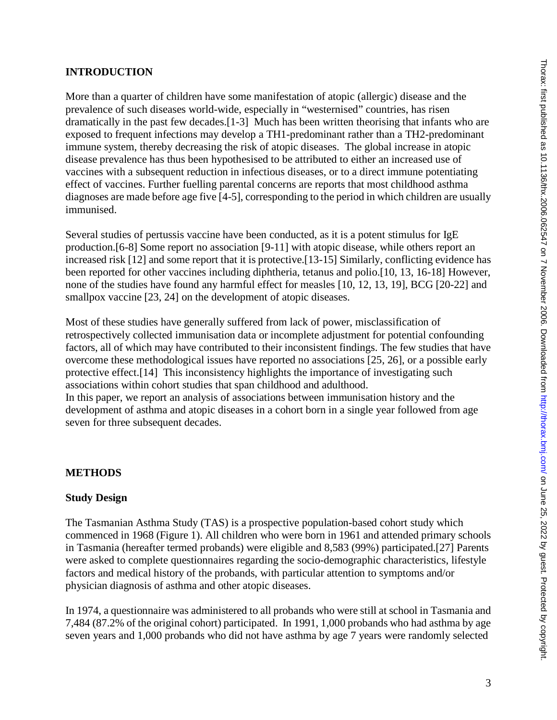# **INTRODUCTION**

More than a quarter of children have some manifestation of atopic (allergic) disease and the prevalence of such diseases world-wide, especially in "westernised" countries, has risen dramatically in the past few decades.[1-3] Much has been written theorising that infants who are exposed to frequent infections may develop a TH1-predominant rather than a TH2-predominant immune system, thereby decreasing the risk of atopic diseases. The global increase in atopic disease prevalence has thus been hypothesised to be attributed to either an increased use of vaccines with a subsequent reduction in infectious diseases, or to a direct immune potentiating effect of vaccines. Further fuelling parental concerns are reports that most childhood asthma diagnoses are made before age five [4-5], corresponding to the period in which children are usually immunised.

Several studies of pertussis vaccine have been conducted, as it is a potent stimulus for IgE production.[6-8] Some report no association [9-11] with atopic disease, while others report an increased risk [12] and some report that it is protective.[13-15] Similarly, conflicting evidence has been reported for other vaccines including diphtheria, tetanus and polio.[10, 13, 16-18] However, none of the studies have found any harmful effect for measles [10, 12, 13, 19], BCG [20-22] and smallpox vaccine [23, 24] on the development of atopic diseases.

Most of these studies have generally suffered from lack of power, misclassification of retrospectively collected immunisation data or incomplete adjustment for potential confounding factors, all of which may have contributed to their inconsistent findings. The few studies that have overcome these methodological issues have reported no associations [25, 26], or a possible early protective effect.[14] This inconsistency highlights the importance of investigating such associations within cohort studies that span childhood and adulthood. In this paper, we report an analysis of associations between immunisation history and the development of asthma and atopic diseases in a cohort born in a single year followed from age seven for three subsequent decades.

# **METHODS**

# **Study Design**

The Tasmanian Asthma Study (TAS) is a prospective population-based cohort study which commenced in 1968 (Figure 1). All children who were born in 1961 and attended primary schools in Tasmania (hereafter termed probands) were eligible and 8,583 (99%) participated.[27] Parents were asked to complete questionnaires regarding the socio-demographic characteristics, lifestyle factors and medical history of the probands, with particular attention to symptoms and/or physician diagnosis of asthma and other atopic diseases.

In 1974, a questionnaire was administered to all probands who were still at school in Tasmania and 7,484 (87.2% of the original cohort) participated. In 1991, 1,000 probands who had asthma by age seven years and 1,000 probands who did not have asthma by age 7 years were randomly selected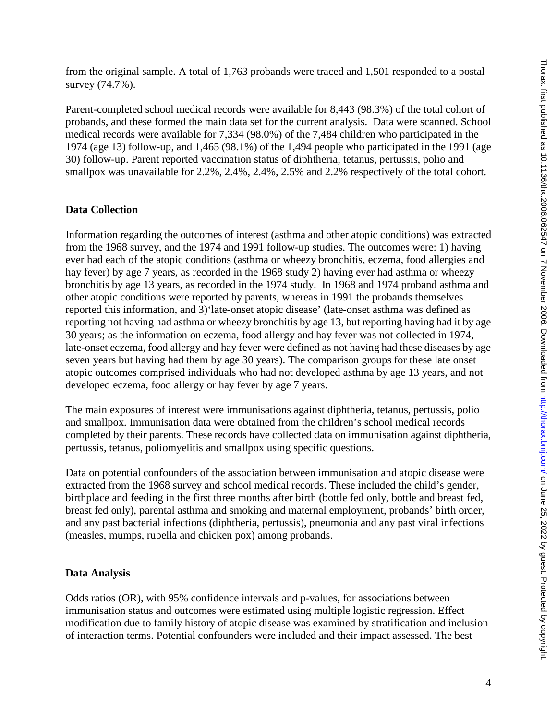from the original sample. A total of 1,763 probands were traced and 1,501 responded to a postal survey (74.7%).

Parent-completed school medical records were available for 8,443 (98.3%) of the total cohort of probands, and these formed the main data set for the current analysis. Data were scanned. School medical records were available for 7,334 (98.0%) of the 7,484 children who participated in the 1974 (age 13) follow-up, and 1,465 (98.1%) of the 1,494 people who participated in the 1991 (age 30) follow-up. Parent reported vaccination status of diphtheria, tetanus, pertussis, polio and smallpox was unavailable for 2.2%, 2.4%, 2.4%, 2.5% and 2.2% respectively of the total cohort.

### **Data Collection**

Information regarding the outcomes of interest (asthma and other atopic conditions) was extracted from the 1968 survey, and the 1974 and 1991 follow-up studies. The outcomes were: 1) having ever had each of the atopic conditions (asthma or wheezy bronchitis, eczema, food allergies and hay fever) by age 7 years, as recorded in the 1968 study 2) having ever had asthma or wheezy bronchitis by age 13 years, as recorded in the 1974 study. In 1968 and 1974 proband asthma and other atopic conditions were reported by parents, whereas in 1991 the probands themselves reported this information, and 3)'late-onset atopic disease' (late-onset asthma was defined as reporting not having had asthma or wheezy bronchitis by age 13, but reporting having had it by age 30 years; as the information on eczema, food allergy and hay fever was not collected in 1974, late-onset eczema, food allergy and hay fever were defined as not having had these diseases by age seven years but having had them by age 30 years). The comparison groups for these late onset atopic outcomes comprised individuals who had not developed asthma by age 13 years, and not developed eczema, food allergy or hay fever by age 7 years.

The main exposures of interest were immunisations against diphtheria, tetanus, pertussis, polio and smallpox. Immunisation data were obtained from the children's school medical records completed by their parents. These records have collected data on immunisation against diphtheria, pertussis, tetanus, poliomyelitis and smallpox using specific questions.

Data on potential confounders of the association between immunisation and atopic disease were extracted from the 1968 survey and school medical records. These included the child's gender, birthplace and feeding in the first three months after birth (bottle fed only, bottle and breast fed, breast fed only), parental asthma and smoking and maternal employment, probands' birth order, and any past bacterial infections (diphtheria, pertussis), pneumonia and any past viral infections (measles, mumps, rubella and chicken pox) among probands.

#### **Data Analysis**

Odds ratios (OR), with 95% confidence intervals and p-values, for associations between immunisation status and outcomes were estimated using multiple logistic regression. Effect modification due to family history of atopic disease was examined by stratification and inclusion of interaction terms. Potential confounders were included and their impact assessed. The best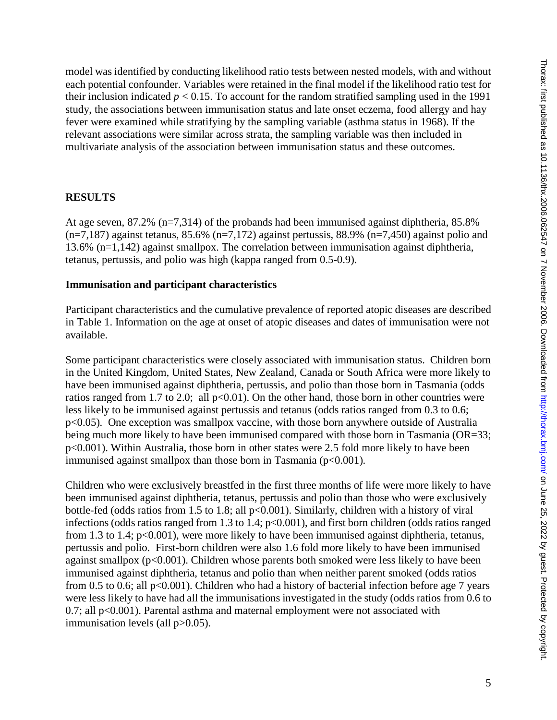model was identified by conducting likelihood ratio tests between nested models, with and without each potential confounder. Variables were retained in the final model if the likelihood ratio test for their inclusion indicated  $p < 0.15$ . To account for the random stratified sampling used in the 1991 study, the associations between immunisation status and late onset eczema, food allergy and hay fever were examined while stratifying by the sampling variable (asthma status in 1968). If the relevant associations were similar across strata, the sampling variable was then included in multivariate analysis of the association between immunisation status and these outcomes.

### **RESULTS**

At age seven, 87.2% (n=7,314) of the probands had been immunised against diphtheria, 85.8%  $(n=7,187)$  against tetanus, 85.6% (n=7,172) against pertussis, 88.9% (n=7,450) against polio and 13.6% (n=1,142) against smallpox. The correlation between immunisation against diphtheria, tetanus, pertussis, and polio was high (kappa ranged from 0.5-0.9).

#### **Immunisation and participant characteristics**

Participant characteristics and the cumulative prevalence of reported atopic diseases are described in Table 1. Information on the age at onset of atopic diseases and dates of immunisation were not available.

Some participant characteristics were closely associated with immunisation status. Children born in the United Kingdom, United States, New Zealand, Canada or South Africa were more likely to have been immunised against diphtheria, pertussis, and polio than those born in Tasmania (odds ratios ranged from 1.7 to 2.0; all  $p<0.01$ ). On the other hand, those born in other countries were less likely to be immunised against pertussis and tetanus (odds ratios ranged from 0.3 to 0.6; p<0.05). One exception was smallpox vaccine, with those born anywhere outside of Australia being much more likely to have been immunised compared with those born in Tasmania (OR=33; p<0.001). Within Australia, those born in other states were 2.5 fold more likely to have been immunised against smallpox than those born in Tasmania  $(p<0.001)$ .

Children who were exclusively breastfed in the first three months of life were more likely to have been immunised against diphtheria, tetanus, pertussis and polio than those who were exclusively bottle-fed (odds ratios from 1.5 to 1.8; all p<0.001). Similarly, children with a history of viral infections (odds ratios ranged from 1.3 to 1.4;  $p<0.001$ ), and first born children (odds ratios ranged from 1.3 to 1.4; p<0.001), were more likely to have been immunised against diphtheria, tetanus, pertussis and polio. First-born children were also 1.6 fold more likely to have been immunised against smallpox  $(p<0.001)$ . Children whose parents both smoked were less likely to have been immunised against diphtheria, tetanus and polio than when neither parent smoked (odds ratios from 0.5 to 0.6; all p<0.001). Children who had a history of bacterial infection before age 7 years were less likely to have had all the immunisations investigated in the study (odds ratios from 0.6 to 0.7; all p<0.001). Parental asthma and maternal employment were not associated with immunisation levels (all p>0.05).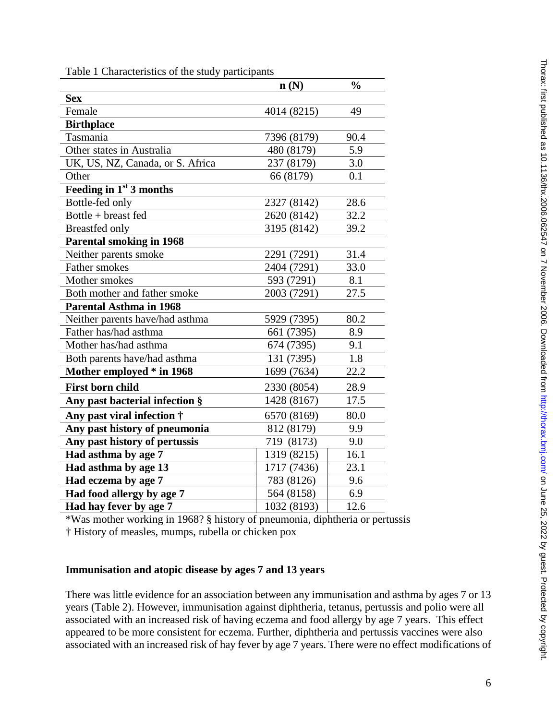|                                    | n(N)        | $\frac{0}{0}$ |
|------------------------------------|-------------|---------------|
| <b>Sex</b>                         |             |               |
| Female                             | 4014 (8215) | 49            |
| <b>Birthplace</b>                  |             |               |
| Tasmania                           | 7396 (8179) | 90.4          |
| Other states in Australia          | 480 (8179)  | 5.9           |
| UK, US, NZ, Canada, or S. Africa   | 237 (8179)  | 3.0           |
| Other                              | 66 (8179)   | 0.1           |
| Feeding in 1st 3 months            |             |               |
| Bottle-fed only                    | 2327 (8142) | 28.6          |
| Bottle + breast fed                | 2620 (8142) | 32.2          |
| <b>Breastfed only</b>              | 3195 (8142) | 39.2          |
| <b>Parental smoking in 1968</b>    |             |               |
| Neither parents smoke              | 2291 (7291) | 31.4          |
| Father smokes                      | 2404 (7291) | 33.0          |
| Mother smokes                      | 593 (7291)  | 8.1           |
| Both mother and father smoke       | 2003 (7291) | 27.5          |
| <b>Parental Asthma in 1968</b>     |             |               |
| Neither parents have/had asthma    | 5929 (7395) | 80.2          |
| Father has/had asthma              | 661 (7395)  | 8.9           |
| Mother has/had asthma              | 674 (7395)  | 9.1           |
| Both parents have/had asthma       | 131 (7395)  | 1.8           |
| Mother employed * in 1968          | 1699 (7634) | 22.2          |
| <b>First born child</b>            | 2330 (8054) | 28.9          |
| Any past bacterial infection §     | 1428 (8167) | 17.5          |
| Any past viral infection $\dagger$ | 6570 (8169) | 80.0          |
| Any past history of pneumonia      | 812 (8179)  | 9.9           |
| Any past history of pertussis      | 719 (8173)  | 9.0           |
| Had asthma by age 7                | 1319 (8215) | 16.1          |
| Had asthma by age 13               | 1717 (7436) | 23.1          |
| Had eczema by age 7                | 783 (8126)  | 9.6           |
| Had food allergy by age 7          | 564 (8158)  | 6.9           |
| Had hay fever by age 7             | 1032 (8193) | 12.6          |

Table 1 Characteristics of the study participants

\*Was mother working in 1968? § history of pneumonia, diphtheria or pertussis † History of measles, mumps, rubella or chicken pox

#### **Immunisation and atopic disease by ages 7 and 13 years**

There was little evidence for an association between any immunisation and asthma by ages 7 or 13 years (Table 2). However, immunisation against diphtheria, tetanus, pertussis and polio were all associated with an increased risk of having eczema and food allergy by age 7 years. This effect appeared to be more consistent for eczema. Further, diphtheria and pertussis vaccines were also associated with an increased risk of hay fever by age 7 years. There were no effect modifications of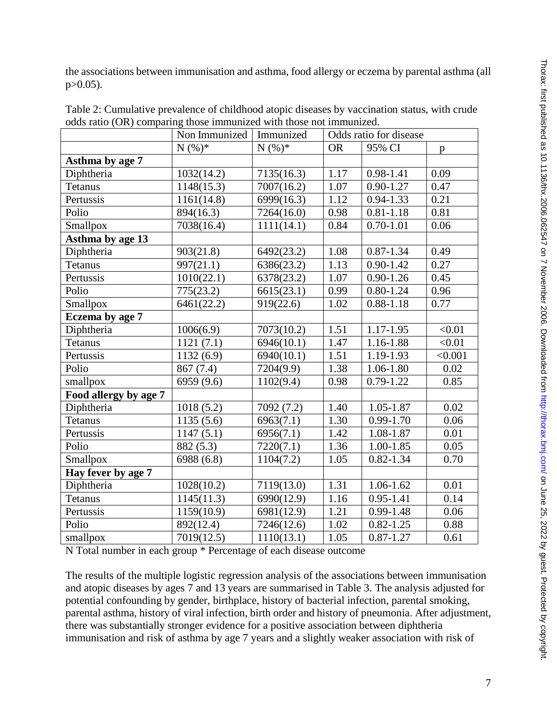| the associations between immunisation and asthma, food allergy or eczema by parental asthma (all |  |
|--------------------------------------------------------------------------------------------------|--|
| $p > 0.05$ ).                                                                                    |  |

|                       | Non Immunized | Immunized  | Odds ratio for disease |               |              |
|-----------------------|---------------|------------|------------------------|---------------|--------------|
|                       | $N(%)*$       | $N(%)*$    | <b>OR</b>              | 95% CI        | $\mathbf{p}$ |
| Asthma by age 7       |               |            |                        |               |              |
| Diphtheria            | 1032(14.2)    | 7135(16.3) | 1.17                   | 0.98-1.41     | 0.09         |
| Tetanus               | 1148(15.3)    | 7007(16.2) | 1.07                   | $0.90 - 1.27$ | 0.47         |
| Pertussis             | 1161(14.8)    | 6999(16.3) | 1.12                   | $0.94 - 1.33$ | 0.21         |
| Polio                 | 894(16.3)     | 7264(16.0) | 0.98                   | $0.81 - 1.18$ | 0.81         |
| Smallpox              | 7038(16.4)    | 1111(14.1) | 0.84                   | $0.70 - 1.01$ | 0.06         |
| Asthma by age 13      |               |            |                        |               |              |
| Diphtheria            | 903(21.8)     | 6492(23.2) | 1.08                   | $0.87 - 1.34$ | 0.49         |
| <b>Tetanus</b>        | 997(21.1)     | 6386(23.2) | 1.13                   | $0.90 - 1.42$ | 0.27         |
| Pertussis             | 1010(22.1)    | 6378(23.2) | 1.07                   | $0.90 - 1.26$ | 0.45         |
| Polio                 | 775(23.2)     | 6615(23.1) | 0.99                   | $0.80 - 1.24$ | 0.96         |
| Smallpox              | 6461(22.2)    | 919(22.6)  | 1.02                   | $0.88 - 1.18$ | 0.77         |
| Eczema by age 7       |               |            |                        |               |              |
| Diphtheria            | 1006(6.9)     | 7073(10.2) | 1.51                   | 1.17-1.95     | < 0.01       |
| <b>Tetanus</b>        | 1121(7.1)     | 6946(10.1) | 1.47                   | 1.16-1.88     | < 0.01       |
| Pertussis             | 1132(6.9)     | 6940(10.1) | 1.51                   | 1.19-1.93     | < 0.001      |
| Polio                 | 867 (7.4)     | 7204(9.9)  | 1.38                   | 1.06-1.80     | 0.02         |
| smallpox              | 6959 (9.6)    | 1102(9.4)  | 0.98                   | 0.79-1.22     | 0.85         |
| Food allergy by age 7 |               |            |                        |               |              |
| Diphtheria            | 1018(5.2)     | 7092 (7.2) | 1.40                   | 1.05-1.87     | 0.02         |
| <b>Tetanus</b>        | 1135(5.6)     | 6963(7.1)  | 1.30                   | 0.99-1.70     | 0.06         |
| Pertussis             | 1147(5.1)     | 6956(7.1)  | 1.42                   | 1.08-1.87     | 0.01         |
| Polio                 | 882 (5.3)     | 7220(7.1)  | 1.36                   | 1.00-1.85     | 0.05         |
| Smallpox              | 6988 (6.8)    | 1104(7.2)  | 1.05                   | $0.82 - 1.34$ | 0.70         |
| Hay fever by age 7    |               |            |                        |               |              |
| Diphtheria            | 1028(10.2)    | 7119(13.0) | 1.31                   | 1.06-1.62     | 0.01         |
| <b>Tetanus</b>        | 1145(11.3)    | 6990(12.9) | 1.16                   | $0.95 - 1.41$ | 0.14         |
| Pertussis             | 1159(10.9)    | 6981(12.9) | 1.21                   | $0.99 - 1.48$ | 0.06         |
| Polio                 | 892(12.4)     | 7246(12.6) | 1.02                   | $0.82 - 1.25$ | 0.88         |
| smallpox              | 7019(12.5)    | 1110(13.1) | 1.05                   | $0.87 - 1.27$ | 0.61         |

Table 2: Cumulative prevalence of childhood atopic diseases by vaccination status, with crude odds ratio (OR) comparing those immunized with those not immunized.

N Total number in each group \* Percentage of each disease outcome

The results of the multiple logistic regression analysis of the associations between immunisation and atopic diseases by ages 7 and 13 years are summarised in Table 3. The analysis adjusted for potential confounding by gender, birthplace, history of bacterial infection, parental smoking, parental asthma, history of viral infection, birth order and history of pneumonia. After adjustment, there was substantially stronger evidence for a positive association between diphtheria immunisation and risk of asthma by age 7 years and a slightly weaker association with risk of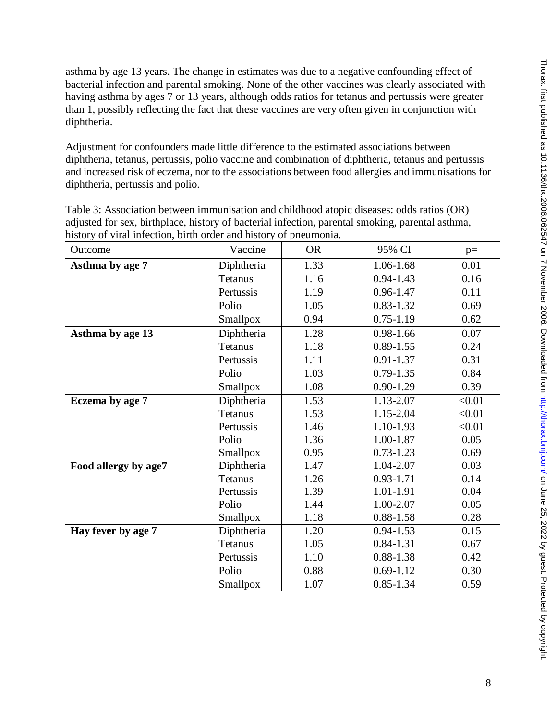asthma by age 13 years. The change in estimates was due to a negative confounding effect of bacterial infection and parental smoking. None of the other vaccines was clearly associated with having asthma by ages 7 or 13 years, although odds ratios for tetanus and pertussis were greater than 1, possibly reflecting the fact that these vaccines are very often given in conjunction with diphtheria.

Adjustment for confounders made little difference to the estimated associations between diphtheria, tetanus, pertussis, polio vaccine and combination of diphtheria, tetanus and pertussis and increased risk of eczema, nor to the associations between food allergies and immunisations for diphtheria, pertussis and polio.

| Outcome              | Vaccine         | <b>OR</b> | 95% CI        | $p=$   |
|----------------------|-----------------|-----------|---------------|--------|
| Asthma by age 7      | Diphtheria      | 1.33      | 1.06-1.68     | 0.01   |
|                      | Tetanus         | 1.16      | $0.94 - 1.43$ | 0.16   |
|                      | Pertussis       | 1.19      | 0.96-1.47     | 0.11   |
|                      | Polio           | 1.05      | $0.83 - 1.32$ | 0.69   |
|                      | Smallpox        | 0.94      | $0.75 - 1.19$ | 0.62   |
| Asthma by age 13     | Diphtheria      | 1.28      | 0.98-1.66     | 0.07   |
|                      | Tetanus         | 1.18      | $0.89 - 1.55$ | 0.24   |
|                      | Pertussis       | 1.11      | 0.91-1.37     | 0.31   |
|                      | Polio           | 1.03      | $0.79 - 1.35$ | 0.84   |
|                      | Smallpox        | 1.08      | $0.90 - 1.29$ | 0.39   |
| Eczema by age 7      | Diphtheria      | 1.53      | 1.13-2.07     | < 0.01 |
|                      | Tetanus         | 1.53      | 1.15-2.04     | < 0.01 |
|                      | Pertussis       | 1.46      | 1.10-1.93     | < 0.01 |
|                      | Polio           | 1.36      | 1.00-1.87     | 0.05   |
|                      | Smallpox        | 0.95      | $0.73 - 1.23$ | 0.69   |
| Food allergy by age7 | Diphtheria      | 1.47      | 1.04-2.07     | 0.03   |
|                      | Tetanus         | 1.26      | 0.93-1.71     | 0.14   |
|                      | Pertussis       | 1.39      | 1.01-1.91     | 0.04   |
|                      | Polio           | 1.44      | 1.00-2.07     | 0.05   |
|                      | Smallpox        | 1.18      | 0.88-1.58     | 0.28   |
| Hay fever by age 7   | Diphtheria      | 1.20      | $0.94 - 1.53$ | 0.15   |
|                      | Tetanus         | 1.05      | $0.84 - 1.31$ | 0.67   |
|                      | Pertussis       | 1.10      | 0.88-1.38     | 0.42   |
|                      | Polio           | 0.88      | $0.69 - 1.12$ | 0.30   |
|                      | <b>Smallpox</b> | 1.07      | $0.85 - 1.34$ | 0.59   |

Table 3: Association between immunisation and childhood atopic diseases: odds ratios (OR) adjusted for sex, birthplace, history of bacterial infection, parental smoking, parental asthma, history of viral infection, birth order and history of pneumonia.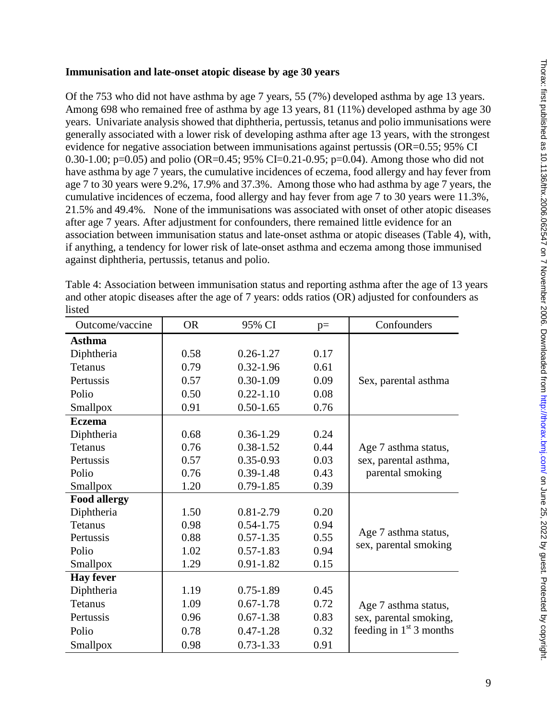#### **Immunisation and late-onset atopic disease by age 30 years**

Of the 753 who did not have asthma by age 7 years, 55 (7%) developed asthma by age 13 years. Among 698 who remained free of asthma by age 13 years, 81 (11%) developed asthma by age 30 years. Univariate analysis showed that diphtheria, pertussis, tetanus and polio immunisations were generally associated with a lower risk of developing asthma after age 13 years, with the strongest evidence for negative association between immunisations against pertussis (OR=0.55; 95% CI 0.30-1.00; p=0.05) and polio (OR=0.45; 95% CI=0.21-0.95; p=0.04). Among those who did not have asthma by age 7 years, the cumulative incidences of eczema, food allergy and hay fever from age 7 to 30 years were 9.2%, 17.9% and 37.3%. Among those who had asthma by age 7 years, the cumulative incidences of eczema, food allergy and hay fever from age 7 to 30 years were 11.3%, 21.5% and 49.4%. None of the immunisations was associated with onset of other atopic diseases after age 7 years. After adjustment for confounders, there remained little evidence for an association between immunisation status and late-onset asthma or atopic diseases (Table 4), with, if anything, a tendency for lower risk of late-onset asthma and eczema among those immunised against diphtheria, pertussis, tetanus and polio.

| Outcome/vaccine     | <b>OR</b> | 95% CI        | $p=$ | Confounders               |
|---------------------|-----------|---------------|------|---------------------------|
| <b>Asthma</b>       |           |               |      |                           |
| Diphtheria          | 0.58      | $0.26 - 1.27$ | 0.17 |                           |
| Tetanus             | 0.79      | $0.32 - 1.96$ | 0.61 |                           |
| Pertussis           | 0.57      | $0.30 - 1.09$ | 0.09 | Sex, parental asthma      |
| Polio               | 0.50      | $0.22 - 1.10$ | 0.08 |                           |
| Smallpox            | 0.91      | $0.50 - 1.65$ | 0.76 |                           |
| <b>Eczema</b>       |           |               |      |                           |
| Diphtheria          | 0.68      | $0.36 - 1.29$ | 0.24 |                           |
| Tetanus             | 0.76      | $0.38 - 1.52$ | 0.44 | Age 7 asthma status,      |
| Pertussis           | 0.57      | $0.35 - 0.93$ | 0.03 | sex, parental asthma,     |
| Polio               | 0.76      | $0.39 - 1.48$ | 0.43 | parental smoking          |
| Smallpox            | 1.20      | $0.79 - 1.85$ | 0.39 |                           |
| <b>Food allergy</b> |           |               |      |                           |
| Diphtheria          | 1.50      | 0.81-2.79     | 0.20 |                           |
| Tetanus             | 0.98      | $0.54 - 1.75$ | 0.94 | Age 7 asthma status,      |
| Pertussis           | 0.88      | $0.57 - 1.35$ | 0.55 | sex, parental smoking     |
| Polio               | 1.02      | $0.57 - 1.83$ | 0.94 |                           |
| Smallpox            | 1.29      | 0.91-1.82     | 0.15 |                           |
| <b>Hay fever</b>    |           |               |      |                           |
| Diphtheria          | 1.19      | $0.75 - 1.89$ | 0.45 |                           |
| <b>Tetanus</b>      | 1.09      | $0.67 - 1.78$ | 0.72 | Age 7 asthma status,      |
| Pertussis           | 0.96      | $0.67 - 1.38$ | 0.83 | sex, parental smoking,    |
| Polio               | 0.78      | $0.47 - 1.28$ | 0.32 | feeding in $1st$ 3 months |
| <b>Smallpox</b>     | 0.98      | $0.73 - 1.33$ | 0.91 |                           |

Table 4: Association between immunisation status and reporting asthma after the age of 13 years and other atopic diseases after the age of 7 years: odds ratios (OR) adjusted for confounders as listed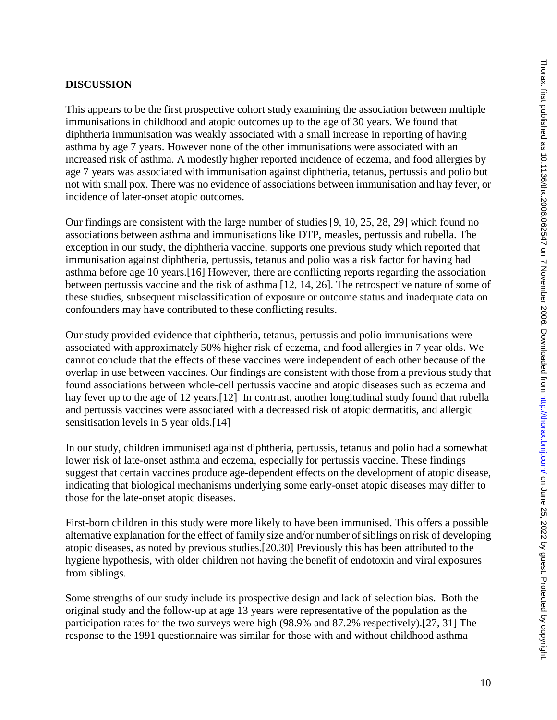# **DISCUSSION**

This appears to be the first prospective cohort study examining the association between multiple immunisations in childhood and atopic outcomes up to the age of 30 years. We found that diphtheria immunisation was weakly associated with a small increase in reporting of having asthma by age 7 years. However none of the other immunisations were associated with an increased risk of asthma. A modestly higher reported incidence of eczema, and food allergies by age 7 years was associated with immunisation against diphtheria, tetanus, pertussis and polio but not with small pox. There was no evidence of associations between immunisation and hay fever, or incidence of later-onset atopic outcomes.

Our findings are consistent with the large number of studies [9, 10, 25, 28, 29] which found no associations between asthma and immunisations like DTP, measles, pertussis and rubella. The exception in our study, the diphtheria vaccine, supports one previous study which reported that immunisation against diphtheria, pertussis, tetanus and polio was a risk factor for having had asthma before age 10 years.[16] However, there are conflicting reports regarding the association between pertussis vaccine and the risk of asthma [12, 14, 26]. The retrospective nature of some of these studies, subsequent misclassification of exposure or outcome status and inadequate data on confounders may have contributed to these conflicting results.

Our study provided evidence that diphtheria, tetanus, pertussis and polio immunisations were associated with approximately 50% higher risk of eczema, and food allergies in 7 year olds. We cannot conclude that the effects of these vaccines were independent of each other because of the overlap in use between vaccines. Our findings are consistent with those from a previous study that found associations between whole-cell pertussis vaccine and atopic diseases such as eczema and hay fever up to the age of 12 years.<sup>[12]</sup> In contrast, another longitudinal study found that rubella and pertussis vaccines were associated with a decreased risk of atopic dermatitis, and allergic sensitisation levels in 5 year olds.[14]

In our study, children immunised against diphtheria, pertussis, tetanus and polio had a somewhat lower risk of late-onset asthma and eczema, especially for pertussis vaccine. These findings suggest that certain vaccines produce age-dependent effects on the development of atopic disease, indicating that biological mechanisms underlying some early-onset atopic diseases may differ to those for the late-onset atopic diseases.

First-born children in this study were more likely to have been immunised. This offers a possible alternative explanation for the effect of family size and/or number of siblings on risk of developing atopic diseases, as noted by previous studies.[20,30] Previously this has been attributed to the hygiene hypothesis, with older children not having the benefit of endotoxin and viral exposures from siblings.

Some strengths of our study include its prospective design and lack of selection bias. Both the original study and the follow-up at age 13 years were representative of the population as the participation rates for the two surveys were high (98.9% and 87.2% respectively).[27, 31] The response to the 1991 questionnaire was similar for those with and without childhood asthma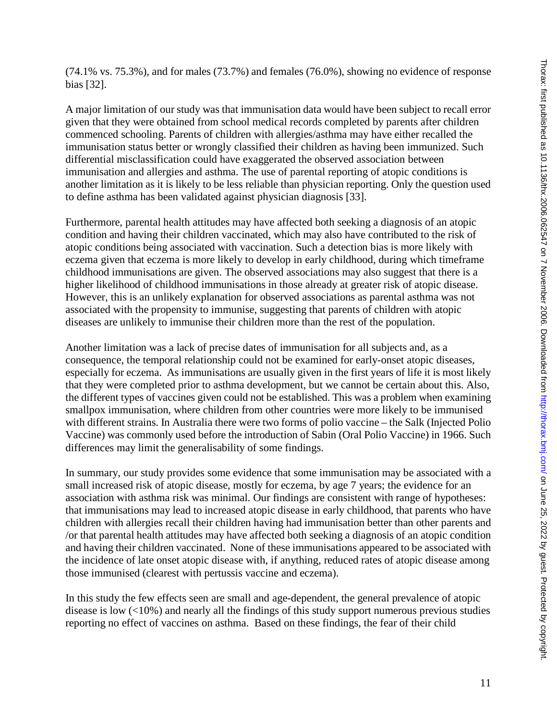(74.1% vs. 75.3%), and for males (73.7%) and females (76.0%), showing no evidence of response bias [32].

A major limitation of our study was that immunisation data would have been subject to recall error given that they were obtained from school medical records completed by parents after children commenced schooling. Parents of children with allergies/asthma may have either recalled the immunisation status better or wrongly classified their children as having been immunized. Such differential misclassification could have exaggerated the observed association between immunisation and allergies and asthma. The use of parental reporting of atopic conditions is another limitation as it is likely to be less reliable than physician reporting. Only the question used to define asthma has been validated against physician diagnosis [33].

Furthermore, parental health attitudes may have affected both seeking a diagnosis of an atopic condition and having their children vaccinated, which may also have contributed to the risk of atopic conditions being associated with vaccination. Such a detection bias is more likely with eczema given that eczema is more likely to develop in early childhood, during which timeframe childhood immunisations are given. The observed associations may also suggest that there is a higher likelihood of childhood immunisations in those already at greater risk of atopic disease. However, this is an unlikely explanation for observed associations as parental asthma was not associated with the propensity to immunise, suggesting that parents of children with atopic diseases are unlikely to immunise their children more than the rest of the population.

Another limitation was a lack of precise dates of immunisation for all subjects and, as a consequence, the temporal relationship could not be examined for early-onset atopic diseases, especially for eczema. As immunisations are usually given in the first years of life it is most likely that they were completed prior to asthma development, but we cannot be certain about this. Also, the different types of vaccines given could not be established. This was a problem when examining smallpox immunisation, where children from other countries were more likely to be immunised with different strains. In Australia there were two forms of polio vaccine – the Salk (Injected Polio Vaccine) was commonly used before the introduction of Sabin (Oral Polio Vaccine) in 1966. Such differences may limit the generalisability of some findings.

In summary, our study provides some evidence that some immunisation may be associated with a small increased risk of atopic disease, mostly for eczema, by age 7 years; the evidence for an association with asthma risk was minimal. Our findings are consistent with range of hypotheses: that immunisations may lead to increased atopic disease in early childhood, that parents who have children with allergies recall their children having had immunisation better than other parents and /or that parental health attitudes may have affected both seeking a diagnosis of an atopic condition and having their children vaccinated. None of these immunisations appeared to be associated with the incidence of late onset atopic disease with, if anything, reduced rates of atopic disease among those immunised (clearest with pertussis vaccine and eczema).

In this study the few effects seen are small and age-dependent, the general prevalence of atopic disease is low  $\left($ <10%) and nearly all the findings of this study support numerous previous studies reporting no effect of vaccines on asthma. Based on these findings, the fear of their child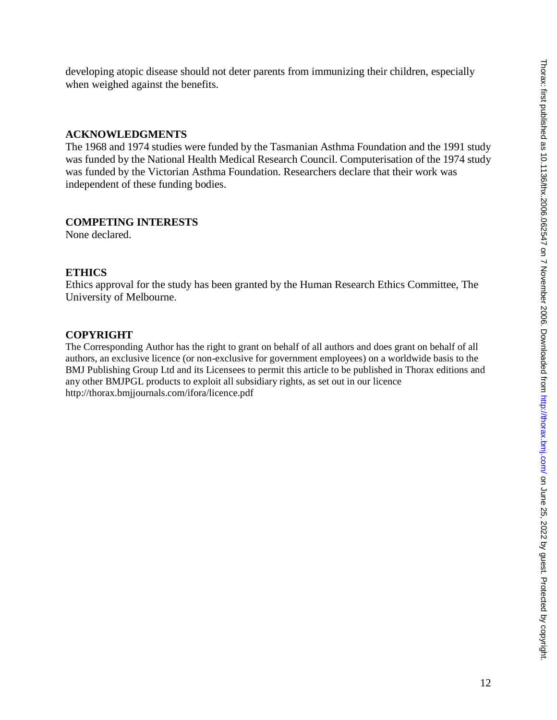developing atopic disease should not deter parents from immunizing their children, especially when weighed against the benefits.

### **ACKNOWLEDGMENTS**

The 1968 and 1974 studies were funded by the Tasmanian Asthma Foundation and the 1991 study was funded by the National Health Medical Research Council. Computerisation of the 1974 study was funded by the Victorian Asthma Foundation. Researchers declare that their work was independent of these funding bodies.

# **COMPETING INTERESTS**

None declared.

### **ETHICS**

Ethics approval for the study has been granted by the Human Research Ethics Committee, The University of Melbourne.

### **COPYRIGHT**

The Corresponding Author has the right to grant on behalf of all authors and does grant on behalf of all authors, an exclusive licence (or non-exclusive for government employees) on a worldwide basis to the BMJ Publishing Group Ltd and its Licensees to permit this article to be published in Thorax editions and any other BMJPGL products to exploit all subsidiary rights, as set out in our licence http://thorax.bmjjournals.com/ifora/licence.pdf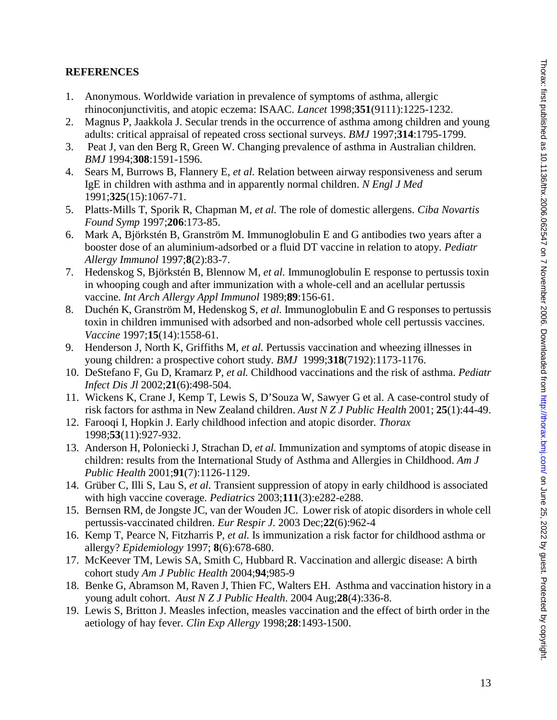### **REFERENCES**

- 1. Anonymous. Worldwide variation in prevalence of symptoms of asthma, allergic rhinoconjunctivitis, and atopic eczema: ISAAC. *Lancet* 1998;**351**(9111):1225-1232.
- 2. Magnus P, Jaakkola J. Secular trends in the occurrence of asthma among children and young adults: critical appraisal of repeated cross sectional surveys. *BMJ* 1997;**314**:1795-1799.
- 3. Peat J, van den Berg R, Green W. Changing prevalence of asthma in Australian children. *BMJ* 1994;**308**:1591-1596.
- 4. Sears M, Burrows B, Flannery E, *et al.* Relation between airway responsiveness and serum IgE in children with asthma and in apparently normal children. *N Engl J Med* 1991;**325**(15):1067-71.
- 5. Platts-Mills T, Sporik R, Chapman M, *et al.* The role of domestic allergens. *Ciba Novartis Found Symp* 1997;**206**:173-85.
- 6. Mark A, Björkstén B, Granström M. Immunoglobulin E and G antibodies two years after a booster dose of an aluminium-adsorbed or a fluid DT vaccine in relation to atopy. *Pediatr Allergy Immunol* 1997;**8**(2):83-7.
- 7. Hedenskog S, Björkstén B, Blennow M, *et al.* Immunoglobulin E response to pertussis toxin in whooping cough and after immunization with a whole-cell and an acellular pertussis vaccine. *Int Arch Allergy Appl Immunol* 1989;**89**:156-61.
- 8. Duchén K, Granström M, Hedenskog S, *et al.* Immunoglobulin E and G responses to pertussis toxin in children immunised with adsorbed and non-adsorbed whole cell pertussis vaccines. *Vaccine* 1997;**15**(14):1558-61.
- 9. Henderson J, North K, Griffiths M, *et al.* Pertussis vaccination and wheezing illnesses in young children: a prospective cohort study. *BMJ* 1999;**318**(7192):1173-1176.
- 10. DeStefano F, Gu D, Kramarz P, *et al.* Childhood vaccinations and the risk of asthma. *Pediatr Infect Dis Jl* 2002;**21**(6):498-504.
- 11. Wickens K, Crane J, Kemp T, Lewis S, D'Souza W, Sawyer G et al. A case-control study of risk factors for asthma in New Zealand children. *Aust N Z J Public Health* 2001; **25**(1):44-49.
- 12. Farooqi I, Hopkin J. Early childhood infection and atopic disorder. *Thorax* 1998;**53**(11):927-932.
- 13. Anderson H, Poloniecki J, Strachan D, *et al.* Immunization and symptoms of atopic disease in children: results from the International Study of Asthma and Allergies in Childhood. *Am J Public Health* 2001;**91**(7):1126-1129.
- 14. Grüber C, Illi S, Lau S, *et al.* Transient suppression of atopy in early childhood is associated with high vaccine coverage. *Pediatrics* 2003;**111**(3):e282-e288.
- 15. Bernsen RM, de Jongste JC, van der Wouden JC. Lower risk of atopic disorders in whole cell pertussis-vaccinated children. *Eur Respir J.* 2003 Dec;**22**(6):962-4
- 16. Kemp T, Pearce N, Fitzharris P, *et al.* Is immunization a risk factor for childhood asthma or allergy? *Epidemiology* 1997; **8**(6):678-680.
- 17. McKeever TM, Lewis SA, Smith C, Hubbard R. Vaccination and allergic disease: A birth cohort study *Am J Public Health* 2004;**94**;985-9
- 18. Benke G, Abramson M, Raven J, Thien FC, Walters EH. Asthma and vaccination history in a young adult cohort. *Aust N Z J Public Health*. 2004 Aug;**28**(4):336-8.
- 19. Lewis S, Britton J. Measles infection, measles vaccination and the effect of birth order in the aetiology of hay fever. *Clin Exp Allergy* 1998;**28**:1493-1500.